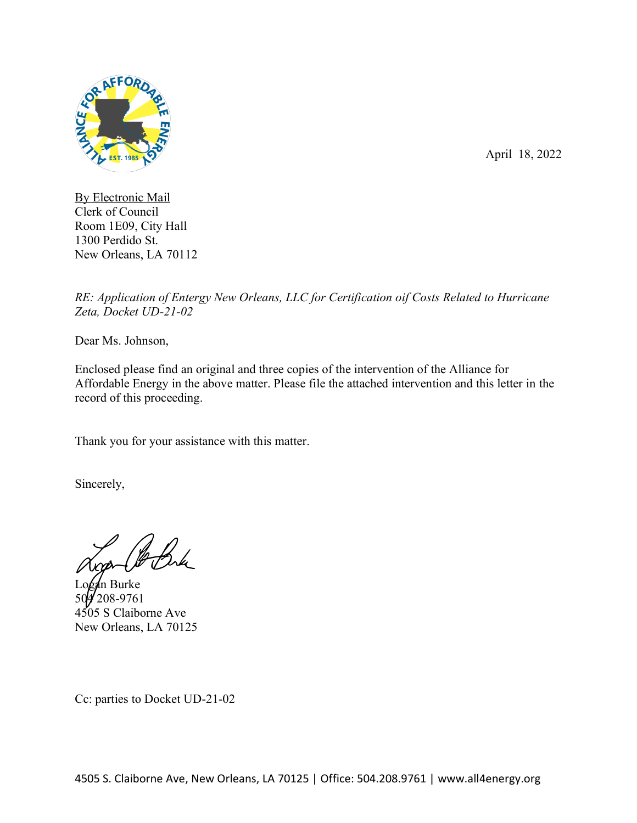

April 18, 2022

By Electronic Mail Clerk of Council Room 1E09, City Hall 1300 Perdido St. New Orleans, LA 70112

*RE: Application of Entergy New Orleans, LLC for Certification oif Costs Related to Hurricane Zeta, Docket UD-21-02*

Dear Ms. Johnson,

Enclosed please find an original and three copies of the intervention of the Alliance for Affordable Energy in the above matter. Please file the attached intervention and this letter in the record of this proceeding.

Thank you for your assistance with this matter.

Sincerely,

**I**n Burke 208-9761 4505 S Claiborne Ave New Orleans, LA 70125

Cc: parties to Docket UD-21-02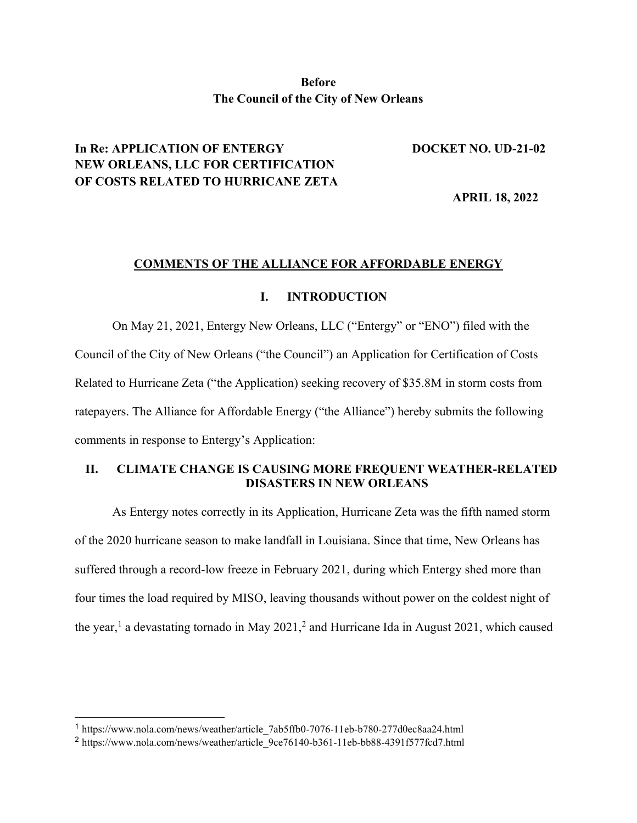# **Before The Council of the City of New Orleans**

#### **In Re: APPLICATION OF ENTERGY DOCKET NO. UD-21-02**

# **NEW ORLEANS, LLC FOR CERTIFICATION OF COSTS RELATED TO HURRICANE ZETA**

 **APRIL 18, 2022**

#### **COMMENTS OF THE ALLIANCE FOR AFFORDABLE ENERGY**

#### **I. INTRODUCTION**

On May 21, 2021, Entergy New Orleans, LLC ("Entergy" or "ENO") filed with the Council of the City of New Orleans ("the Council") an Application for Certification of Costs Related to Hurricane Zeta ("the Application) seeking recovery of \$35.8M in storm costs from ratepayers. The Alliance for Affordable Energy ("the Alliance") hereby submits the following comments in response to Entergy's Application:

# **II. CLIMATE CHANGE IS CAUSING MORE FREQUENT WEATHER-RELATED DISASTERS IN NEW ORLEANS**

As Entergy notes correctly in its Application, Hurricane Zeta was the fifth named storm of the 2020 hurricane season to make landfall in Louisiana. Since that time, New Orleans has suffered through a record-low freeze in February 2021, during which Entergy shed more than four times the load required by MISO, leaving thousands without power on the coldest night of the year,<sup>1</sup> a devastating tornado in May 2021,<sup>2</sup> and Hurricane Ida in August 2021, which caused

<sup>1</sup> https://www.nola.com/news/weather/article\_7ab5ffb0-7076-11eb-b780-277d0ec8aa24.html

<sup>2</sup> https://www.nola.com/news/weather/article\_9ce76140-b361-11eb-bb88-4391f577fcd7.html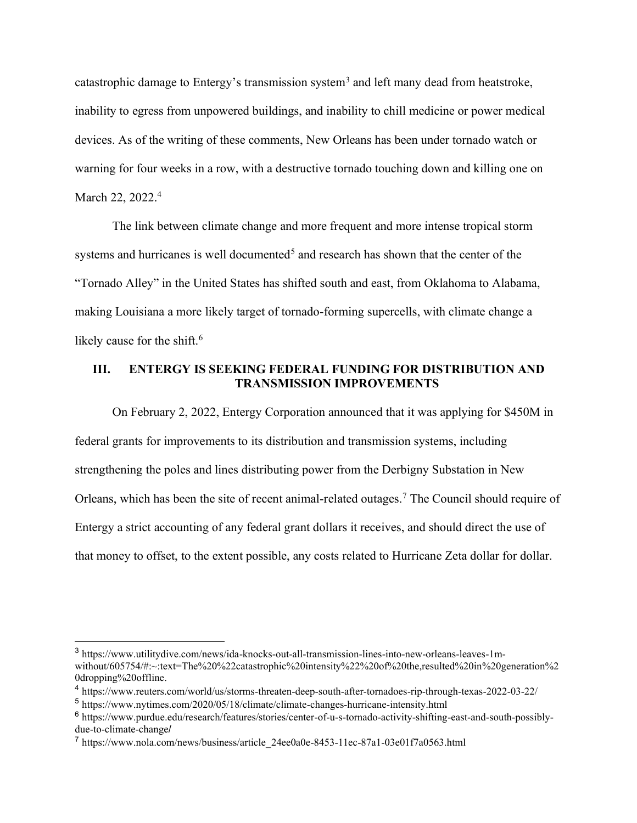catastrophic damage to Entergy's transmission system<sup>3</sup> and left many dead from heatstroke, inability to egress from unpowered buildings, and inability to chill medicine or power medical devices. As of the writing of these comments, New Orleans has been under tornado watch or warning for four weeks in a row, with a destructive tornado touching down and killing one on March 22, 2022.<sup>4</sup>

The link between climate change and more frequent and more intense tropical storm systems and hurricanes is well documented<sup>5</sup> and research has shown that the center of the "Tornado Alley" in the United States has shifted south and east, from Oklahoma to Alabama, making Louisiana a more likely target of tornado-forming supercells, with climate change a likely cause for the shift.<sup>6</sup>

#### **III. ENTERGY IS SEEKING FEDERAL FUNDING FOR DISTRIBUTION AND TRANSMISSION IMPROVEMENTS**

On February 2, 2022, Entergy Corporation announced that it was applying for \$450M in federal grants for improvements to its distribution and transmission systems, including strengthening the poles and lines distributing power from the Derbigny Substation in New Orleans, which has been the site of recent animal-related outages.<sup>7</sup> The Council should require of Entergy a strict accounting of any federal grant dollars it receives, and should direct the use of that money to offset, to the extent possible, any costs related to Hurricane Zeta dollar for dollar.

<sup>3</sup> https://www.utilitydive.com/news/ida-knocks-out-all-transmission-lines-into-new-orleans-leaves-1mwithout/605754/#:~:text=The%20%22catastrophic%20intensity%22%20of%20the,resulted%20in%20generation%2 0dropping%20offline.

<sup>4</sup> https://www.reuters.com/world/us/storms-threaten-deep-south-after-tornadoes-rip-through-texas-2022-03-22/

<sup>5</sup> https://www.nytimes.com/2020/05/18/climate/climate-changes-hurricane-intensity.html

<sup>6</sup> https://www.purdue.edu/research/features/stories/center-of-u-s-tornado-activity-shifting-east-and-south-possiblydue-to-climate-change/

<sup>7</sup> https://www.nola.com/news/business/article\_24ee0a0e-8453-11ec-87a1-03e01f7a0563.html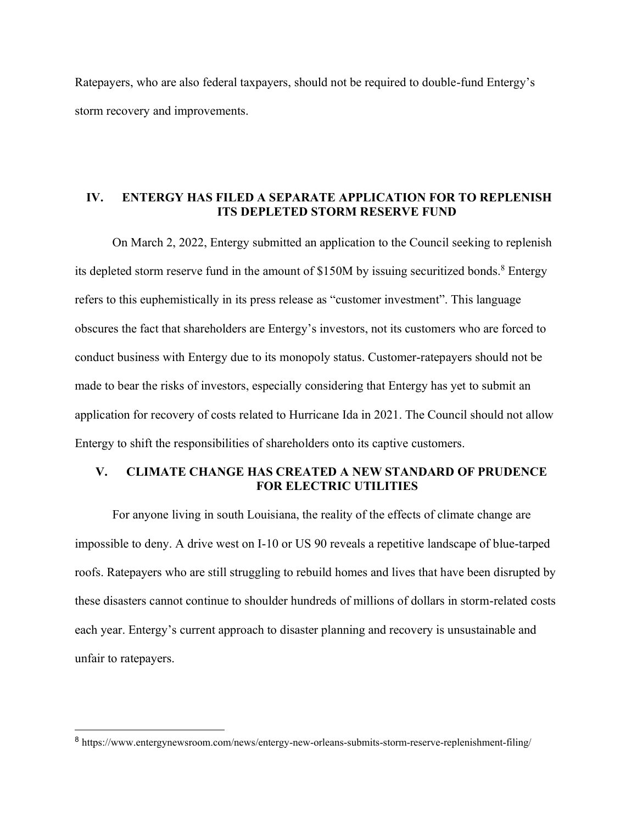Ratepayers, who are also federal taxpayers, should not be required to double-fund Entergy's storm recovery and improvements.

#### **IV. ENTERGY HAS FILED A SEPARATE APPLICATION FOR TO REPLENISH ITS DEPLETED STORM RESERVE FUND**

On March 2, 2022, Entergy submitted an application to the Council seeking to replenish its depleted storm reserve fund in the amount of \$150M by issuing securitized bonds.<sup>8</sup> Entergy refers to this euphemistically in its press release as "customer investment". This language obscures the fact that shareholders are Entergy's investors, not its customers who are forced to conduct business with Entergy due to its monopoly status. Customer-ratepayers should not be made to bear the risks of investors, especially considering that Entergy has yet to submit an application for recovery of costs related to Hurricane Ida in 2021. The Council should not allow Entergy to shift the responsibilities of shareholders onto its captive customers.

# **V. CLIMATE CHANGE HAS CREATED A NEW STANDARD OF PRUDENCE FOR ELECTRIC UTILITIES**

For anyone living in south Louisiana, the reality of the effects of climate change are impossible to deny. A drive west on I-10 or US 90 reveals a repetitive landscape of blue-tarped roofs. Ratepayers who are still struggling to rebuild homes and lives that have been disrupted by these disasters cannot continue to shoulder hundreds of millions of dollars in storm-related costs each year. Entergy's current approach to disaster planning and recovery is unsustainable and unfair to ratepayers.

<sup>8</sup> https://www.entergynewsroom.com/news/entergy-new-orleans-submits-storm-reserve-replenishment-filing/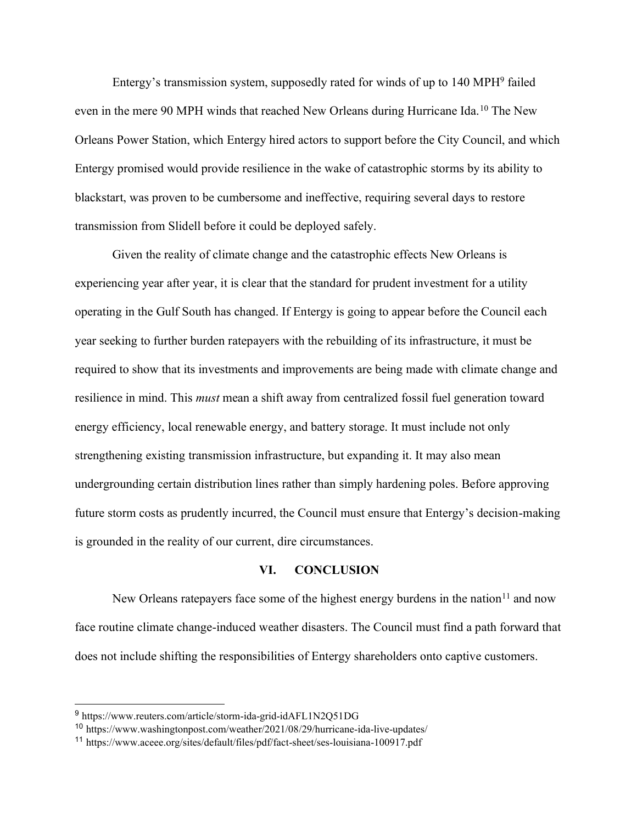Entergy's transmission system, supposedly rated for winds of up to 140 MPH9 failed even in the mere 90 MPH winds that reached New Orleans during Hurricane Ida.10 The New Orleans Power Station, which Entergy hired actors to support before the City Council, and which Entergy promised would provide resilience in the wake of catastrophic storms by its ability to blackstart, was proven to be cumbersome and ineffective, requiring several days to restore transmission from Slidell before it could be deployed safely.

Given the reality of climate change and the catastrophic effects New Orleans is experiencing year after year, it is clear that the standard for prudent investment for a utility operating in the Gulf South has changed. If Entergy is going to appear before the Council each year seeking to further burden ratepayers with the rebuilding of its infrastructure, it must be required to show that its investments and improvements are being made with climate change and resilience in mind. This *must* mean a shift away from centralized fossil fuel generation toward energy efficiency, local renewable energy, and battery storage. It must include not only strengthening existing transmission infrastructure, but expanding it. It may also mean undergrounding certain distribution lines rather than simply hardening poles. Before approving future storm costs as prudently incurred, the Council must ensure that Entergy's decision-making is grounded in the reality of our current, dire circumstances.

#### **VI. CONCLUSION**

New Orleans ratepayers face some of the highest energy burdens in the nation $11$  and now face routine climate change-induced weather disasters. The Council must find a path forward that does not include shifting the responsibilities of Entergy shareholders onto captive customers.

<sup>9</sup> https://www.reuters.com/article/storm-ida-grid-idAFL1N2Q51DG

<sup>10</sup> https://www.washingtonpost.com/weather/2021/08/29/hurricane-ida-live-updates/

<sup>11</sup> https://www.aceee.org/sites/default/files/pdf/fact-sheet/ses-louisiana-100917.pdf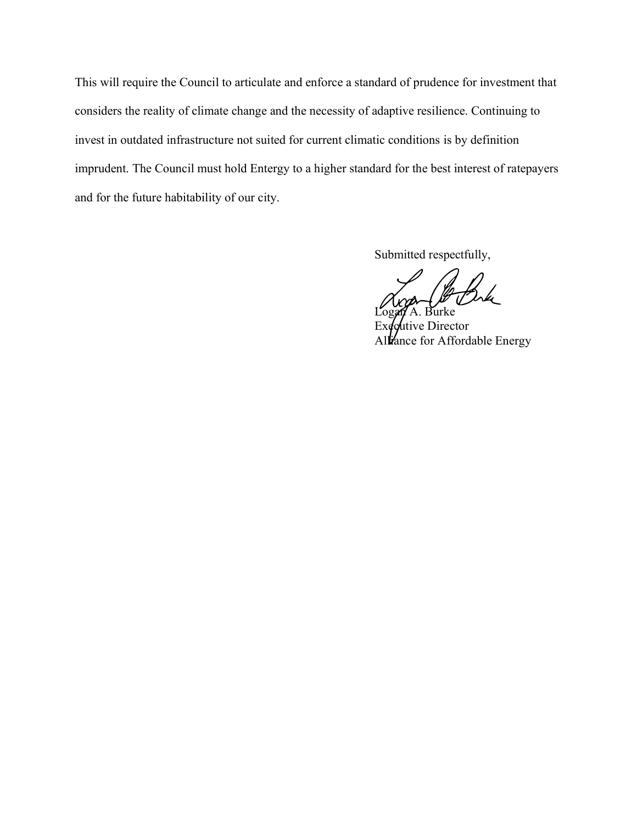This will require the Council to articulate and enforce a standard of prudence for investment that considers the reality of climate change and the necessity of adaptive resilience. Continuing to invest in outdated infrastructure not suited for current climatic conditions is by definition imprudent. The Council must hold Entergy to a higher standard for the best interest of ratepayers and for the future habitability of our city.

Submitted respectfully,

Logan A. Burke tive Director Alliance for Affordable Energy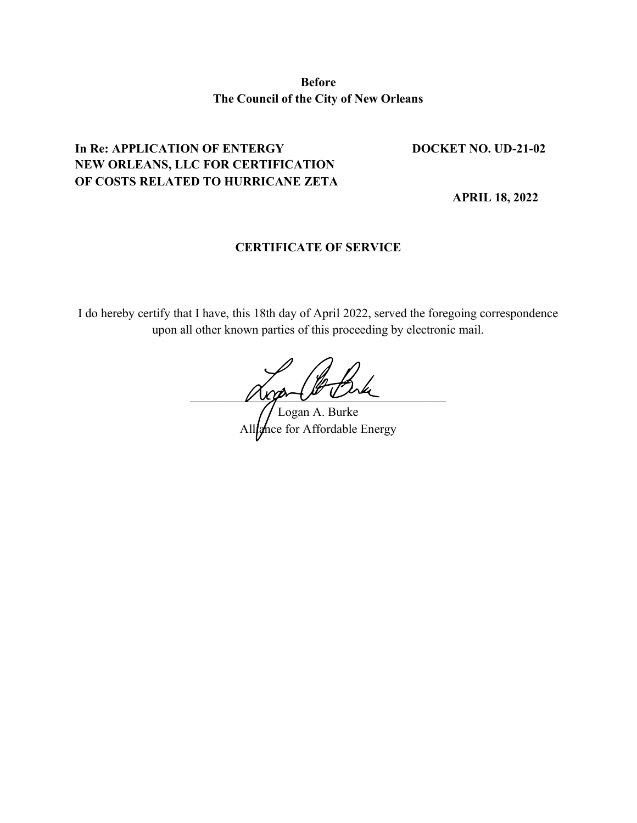**Before The Council of the City of New Orleans**

# In Re: APPLICATION OF ENTERGY DOCKET NO. UD-21-02 **NEW ORLEANS, LLC FOR CERTIFICATION OF COSTS RELATED TO HURRICANE ZETA**

 **APRIL 18, 2022**

### **CERTIFICATE OF SERVICE**

I do hereby certify that I have, this 18th day of April 2022, served the foregoing correspondence upon all other known parties of this proceeding by electronic mail.

women we

Logan A. Burke Alliance for Affordable Energy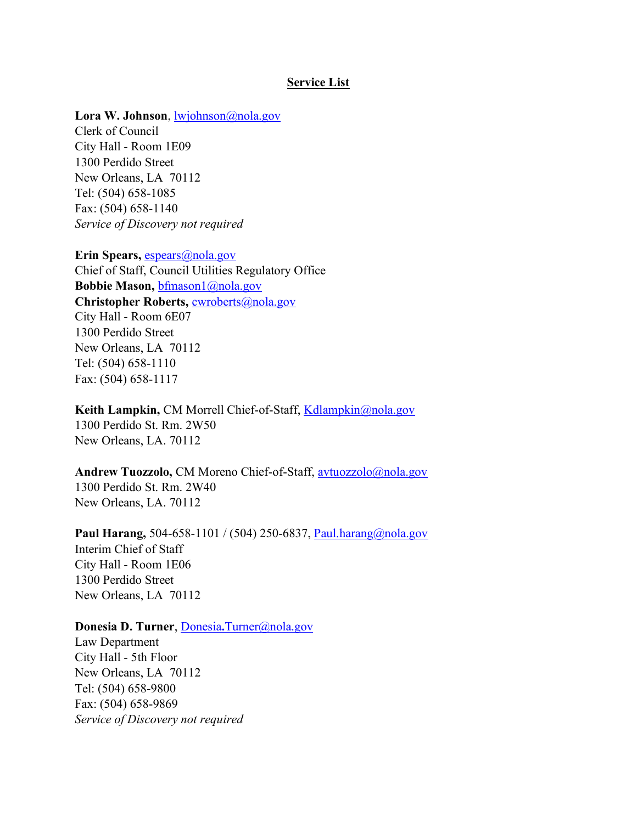#### **Service List**

#### Lora W. Johnson, <u>lwjohnson@nola.gov</u>

Clerk of Council City Hall - Room 1E09 1300 Perdido Street New Orleans, LA 70112 Tel: (504) 658-1085 Fax: (504) 658-1140 *Service of Discovery not required*

**Erin Spears,** [espears@nola.gov](mailto:espears@nola.gov) Chief of Staff, Council Utilities Regulatory Office **Bobbie Mason,** [bfmason1@nola.gov](mailto:bfmason1@nola.gov) **Christopher Roberts,** [cwroberts@nola.gov](mailto:cwroberts@nola.gov) City Hall - Room 6E07 1300 Perdido Street New Orleans, LA 70112 Tel: (504) 658-1110 Fax: (504) 658-1117

Keith Lampkin, CM Morrell Chief-of-Staff, [Kdlampkin@nola.gov](mailto:Kdlampkin@nola.gov) 1300 Perdido St. Rm. 2W50 New Orleans, LA. 70112

**Andrew Tuozzolo,** CM Moreno Chief-of-Staff, [avtuozzolo@nola.gov](mailto:avtuozzolo@nola.gov) 1300 Perdido St. Rm. 2W40 New Orleans, LA. 70112

Paul Harang, 504-658-1101 / (504) 250-6837, [Paul.harang@nola.gov](mailto:Paul.harang@nola.gov) Interim Chief of Staff City Hall - Room 1E06 1300 Perdido Street New Orleans, LA 70112

#### **Donesia D. Turner**, [Donesia](mailto:Donesia.Turner@nola.gov)**[.](mailto:Donesia.Turner@nola.gov)**[Turner@nola.gov](mailto:Donesia.Turner@nola.gov)

Law Department City Hall - 5th Floor New Orleans, LA 70112 Tel: (504) 658-9800 Fax: (504) 658-9869 *Service of Discovery not required*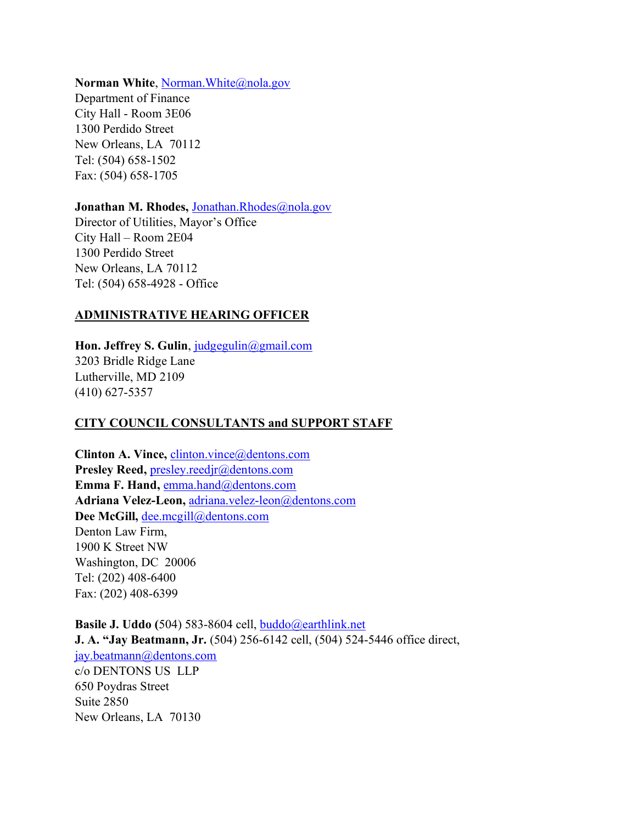#### **Norman White, Norman. White**@nola.gov

Department of Finance City Hall - Room 3E06 1300 Perdido Street New Orleans, LA 70112 Tel: (504) 658-1502 Fax: (504) 658-1705

#### Jonathan M. Rhodes, [Jonathan.Rhodes@nola.gov](mailto:Jonathan.Rhodes@nola.gov)

Director of Utilities, Mayor's Office City Hall – Room 2E04 1300 Perdido Street New Orleans, LA 70112 Tel: (504) 658-4928 - Office

### **ADMINISTRATIVE HEARING OFFICER**

Hon. Jeffrey S. Gulin, [judgegulin@gmail.com](mailto:judgegulin@gmail.com) 3203 Bridle Ridge Lane Lutherville, MD 2109 (410) 627-5357

# **CITY COUNCIL CONSULTANTS and SUPPORT STAFF**

**Clinton A. Vince,** [clinton.vince@dentons.com](mailto:clinton.vince@dentons.com) **Presley Reed,** [presley.reedjr@dentons.com](mailto:presley.reedjr@snrdenton.com) Emma F. Hand, **[emma.hand@dentons.com](mailto:emma.hand@dentons.com) Adriana Velez-Leon,** [adriana.velez-leon@dentons.com](mailto:adriana.velez-leon@dentons.com) **Dee McGill,** [dee.mcgill@dentons.com](mailto:dee.mcgill@dentons.com) Denton Law Firm, 1900 K Street NW Washington, DC 20006 Tel: (202) 408-6400 Fax: (202) 408-6399

**Basile J. Uddo (**504) 583-8604 cell, [buddo@earthlink.net](mailto:buddo@earthlink.net) **J. A. "Jay Beatmann, Jr.** (504) 256-6142 cell, (504) 524-5446 office direct, [jay.beatmann@dentons.com](mailto:jay.beatmann@dentons.com) c/o DENTONS US LLP 650 Poydras Street Suite 2850 New Orleans, LA 70130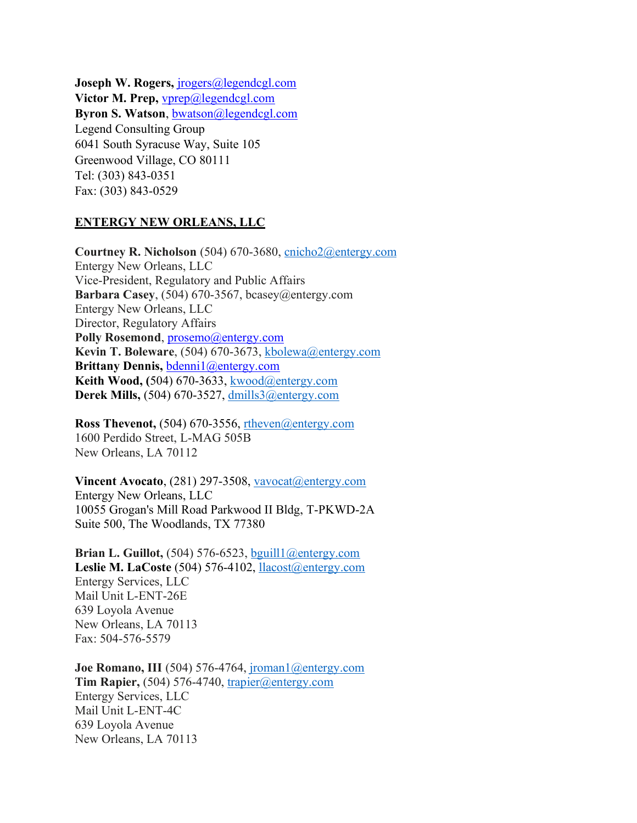Joseph W. Rogers, *[jrogers@legendcgl.com](mailto:jrogers@legendcgl.com)* **Victor M. Prep,** [vprep@legendcgl.com](mailto:vprep@legendcgl.com) **Byron S. Watson**, [bwatson@legendcgl.com](mailto:bwatson@legendcgl.com) Legend Consulting Group 6041 South Syracuse Way, Suite 105 Greenwood Village, CO 80111 Tel: (303) 843-0351 Fax: (303) 843-0529

#### **ENTERGY NEW ORLEANS, LLC**

**Courtney R. Nicholson** (504) 670-3680, [cnicho2@entergy.com](mailto:rharshk@entergy.com)  Entergy New Orleans, LLC Vice-President, Regulatory and Public Affairs **Barbara Casey**, (504) 670-3567, bcasey@entergy.com Entergy New Orleans, LLC Director, Regulatory Affairs Polly Rosemond, [prosemo@entergy.com](mailto:prosemo@entergy.com) **Kevin T. Boleware**, (504) 670-3673, [kbolewa@entergy.com](mailto:kbolewa@entergy.com) **Brittany Dennis,** [bdenni1@entergy.com](mailto:bdenni1@entergy.com) **Keith Wood, (**504) 670-3633, [kwood@entergy.com](mailto:kwood@entergy.com) **Derek Mills,** (504) 670-3527, [dmills3@entergy.com](mailto:dmills3@entergy.com)

**Ross Thevenot,** (504) 670-3556, [rtheven@entergy.com](mailto:rtheven@entergy.com) 1600 Perdido Street, L-MAG 505B New Orleans, LA 70112

**Vincent Avocato**, (281) 297-3508, [vavocat@entergy.com](mailto:vavocat@entergy.com) Entergy New Orleans, LLC 10055 Grogan's Mill Road Parkwood II Bldg, T-PKWD-2A Suite 500, The Woodlands, TX 77380

**Brian L. Guillot,** (504) 576-6523, [bguill1@entergy.com](mailto:bguill1@entergy.com) **Leslie M. LaCoste** (504) 576-4102, [llacost@entergy.com](mailto:llacost@entergy.com) Entergy Services, LLC Mail Unit L-ENT-26E 639 Loyola Avenue New Orleans, LA 70113 Fax: 504-576-5579

**Joe Romano, III** (504) 576-4764, [jroman1@entergy.com](mailto:jroman1@entergy.com) **Tim Rapier,** (504) 576-4740, [trapier@entergy.com](mailto:trapier@entergy.com) Entergy Services, LLC Mail Unit L-ENT-4C 639 Loyola Avenue New Orleans, LA 70113